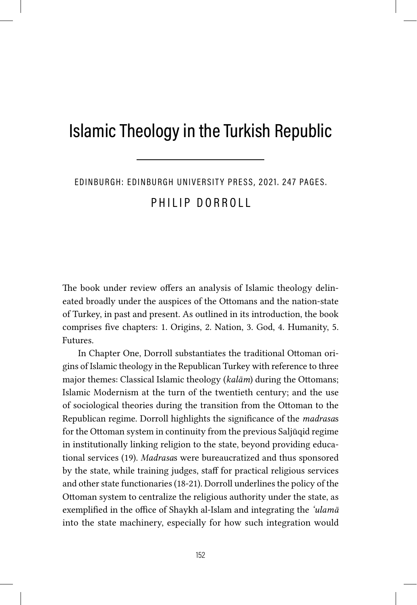## Islamic Theology in the Turkish Republic

EDINBURGH: EDINBURGH UNIVERSITY PRESS, 2021. 247 PAGES.

PHILIP DORROLL

The book under review offers an analysis of Islamic theology delineated broadly under the auspices of the Ottomans and the nation-state of Turkey, in past and present. As outlined in its introduction, the book comprises five chapters: 1. Origins, 2. Nation, 3. God, 4. Humanity, 5. Futures.

In Chapter One, Dorroll substantiates the traditional Ottoman origins of Islamic theology in the Republican Turkey with reference to three major themes: Classical Islamic theology (*kalām*) during the Ottomans; Islamic Modernism at the turn of the twentieth century; and the use of sociological theories during the transition from the Ottoman to the Republican regime. Dorroll highlights the significance of the *madrasa*s for the Ottoman system in continuity from the previous Saljūqid regime in institutionally linking religion to the state, beyond providing educational services (19). *Madrasa*s were bureaucratized and thus sponsored by the state, while training judges, staff for practical religious services and other state functionaries (18-21). Dorroll underlines the policy of the Ottoman system to centralize the religious authority under the state, as exemplified in the office of Shaykh al-Islam and integrating the *'ulamā* into the state machinery, especially for how such integration would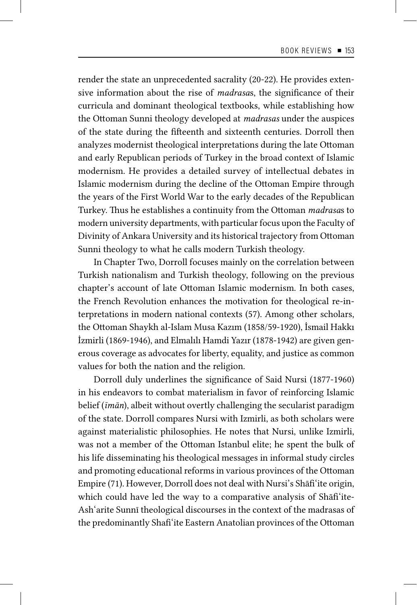render the state an unprecedented sacrality (20-22). He provides extensive information about the rise of *madrasa*s, the significance of their curricula and dominant theological textbooks, while establishing how the Ottoman Sunni theology developed at *madrasas* under the auspices of the state during the fifteenth and sixteenth centuries. Dorroll then analyzes modernist theological interpretations during the late Ottoman and early Republican periods of Turkey in the broad context of Islamic modernism. He provides a detailed survey of intellectual debates in Islamic modernism during the decline of the Ottoman Empire through the years of the First World War to the early decades of the Republican Turkey. Thus he establishes a continuity from the Ottoman *madrasa*s to modern university departments, with particular focus upon the Faculty of Divinity of Ankara University and its historical trajectory from Ottoman Sunni theology to what he calls modern Turkish theology.

In Chapter Two, Dorroll focuses mainly on the correlation between Turkish nationalism and Turkish theology, following on the previous chapter's account of late Ottoman Islamic modernism. In both cases, the French Revolution enhances the motivation for theological re-interpretations in modern national contexts (57). Among other scholars, the Ottoman Shaykh al-Islam Musa Kazım (1858/59-1920), İsmail Hakkı İzmirli (1869-1946), and Elmalılı Hamdi Yazır (1878-1942) are given generous coverage as advocates for liberty, equality, and justice as common values for both the nation and the religion.

Dorroll duly underlines the significance of Said Nursi (1877-1960) in his endeavors to combat materialism in favor of reinforcing Islamic belief (*īmān*), albeit without overtly challenging the secularist paradigm of the state. Dorroll compares Nursi with Izmirli, as both scholars were against materialistic philosophies. He notes that Nursi, unlike Izmirli, was not a member of the Ottoman Istanbul elite; he spent the bulk of his life disseminating his theological messages in informal study circles and promoting educational reforms in various provinces of the Ottoman Empire (71). However, Dorroll does not deal with Nursi's Shāfi'ite origin, which could have led the way to a comparative analysis of Shafi'ite-Ash'arite Sunnī theological discourses in the context of the madrasas of the predominantly Shafi'ite Eastern Anatolian provinces of the Ottoman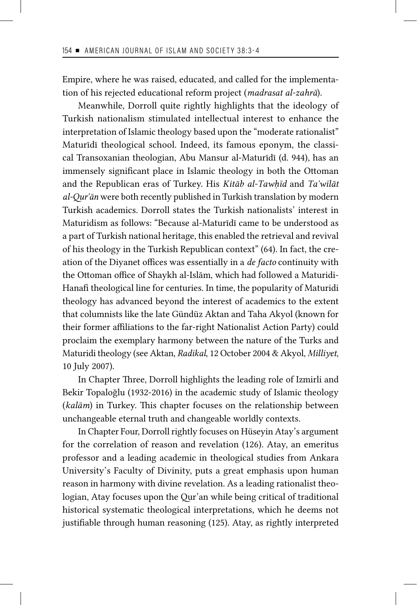Empire, where he was raised, educated, and called for the implementation of his rejected educational reform project (*madrasat al-zahrā*).

Meanwhile, Dorroll quite rightly highlights that the ideology of Turkish nationalism stimulated intellectual interest to enhance the interpretation of Islamic theology based upon the "moderate rationalist" Maturīdī theological school. Indeed, its famous eponym, the classical Transoxanian theologian, Abu Mansur al-Maturīdī (d. 944), has an immensely significant place in Islamic theology in both the Ottoman and the Republican eras of Turkey. His *Kitāb al-Tawḥīd* and *Ta᾽wīlāt al-Qur᾽ān* were both recently published in Turkish translation by modern Turkish academics. Dorroll states the Turkish nationalists' interest in Maturidism as follows: "Because al-Maturīdī came to be understood as a part of Turkish national heritage, this enabled the retrieval and revival of his theology in the Turkish Republican context" (64). In fact, the creation of the Diyanet offices was essentially in a *de facto* continuity with the Ottoman office of Shaykh al-Islām, which had followed a Maturidi-Hanafi theological line for centuries. In time, the popularity of Maturidi theology has advanced beyond the interest of academics to the extent that columnists like the late Gündüz Aktan and Taha Akyol (known for their former affiliations to the far-right Nationalist Action Party) could proclaim the exemplary harmony between the nature of the Turks and Maturidi theology (see Aktan, *Radikal*, 12 October 2004 & Akyol, *Milliyet*, 10 July 2007).

In Chapter Three, Dorroll highlights the leading role of Izmirli and Bekir Topaloğlu (1932-2016) in the academic study of Islamic theology (*kalām*) in Turkey. This chapter focuses on the relationship between unchangeable eternal truth and changeable worldly contexts.

In Chapter Four, Dorroll rightly focuses on Hüseyin Atay's argument for the correlation of reason and revelation (126). Atay, an emeritus professor and a leading academic in theological studies from Ankara University's Faculty of Divinity, puts a great emphasis upon human reason in harmony with divine revelation. As a leading rationalist theologian, Atay focuses upon the Qur'an while being critical of traditional historical systematic theological interpretations, which he deems not justifiable through human reasoning (125). Atay, as rightly interpreted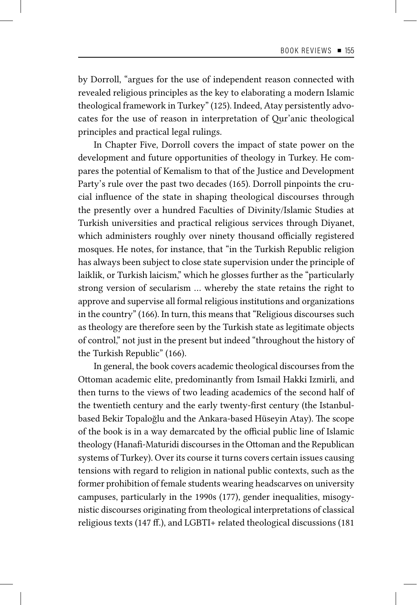by Dorroll, "argues for the use of independent reason connected with revealed religious principles as the key to elaborating a modern Islamic theological framework in Turkey" (125). Indeed, Atay persistently advocates for the use of reason in interpretation of Qur'anic theological principles and practical legal rulings.

In Chapter Five, Dorroll covers the impact of state power on the development and future opportunities of theology in Turkey. He compares the potential of Kemalism to that of the Justice and Development Party's rule over the past two decades (165). Dorroll pinpoints the crucial influence of the state in shaping theological discourses through the presently over a hundred Faculties of Divinity/Islamic Studies at Turkish universities and practical religious services through Diyanet, which administers roughly over ninety thousand officially registered mosques. He notes, for instance, that "in the Turkish Republic religion has always been subject to close state supervision under the principle of laiklik, or Turkish laicism," which he glosses further as the "particularly strong version of secularism … whereby the state retains the right to approve and supervise all formal religious institutions and organizations in the country" (166). In turn, this means that "Religious discourses such as theology are therefore seen by the Turkish state as legitimate objects of control," not just in the present but indeed "throughout the history of the Turkish Republic" (166).

In general, the book covers academic theological discourses from the Ottoman academic elite, predominantly from Ismail Hakki Izmirli, and then turns to the views of two leading academics of the second half of the twentieth century and the early twenty-first century (the Istanbulbased Bekir Topaloğlu and the Ankara-based Hüseyin Atay). The scope of the book is in a way demarcated by the official public line of Islamic theology (Hanafi-Maturidi discourses in the Ottoman and the Republican systems of Turkey). Over its course it turns covers certain issues causing tensions with regard to religion in national public contexts, such as the former prohibition of female students wearing headscarves on university campuses, particularly in the 1990s (177), gender inequalities, misogynistic discourses originating from theological interpretations of classical religious texts (147 ff.), and LGBTI+ related theological discussions (181